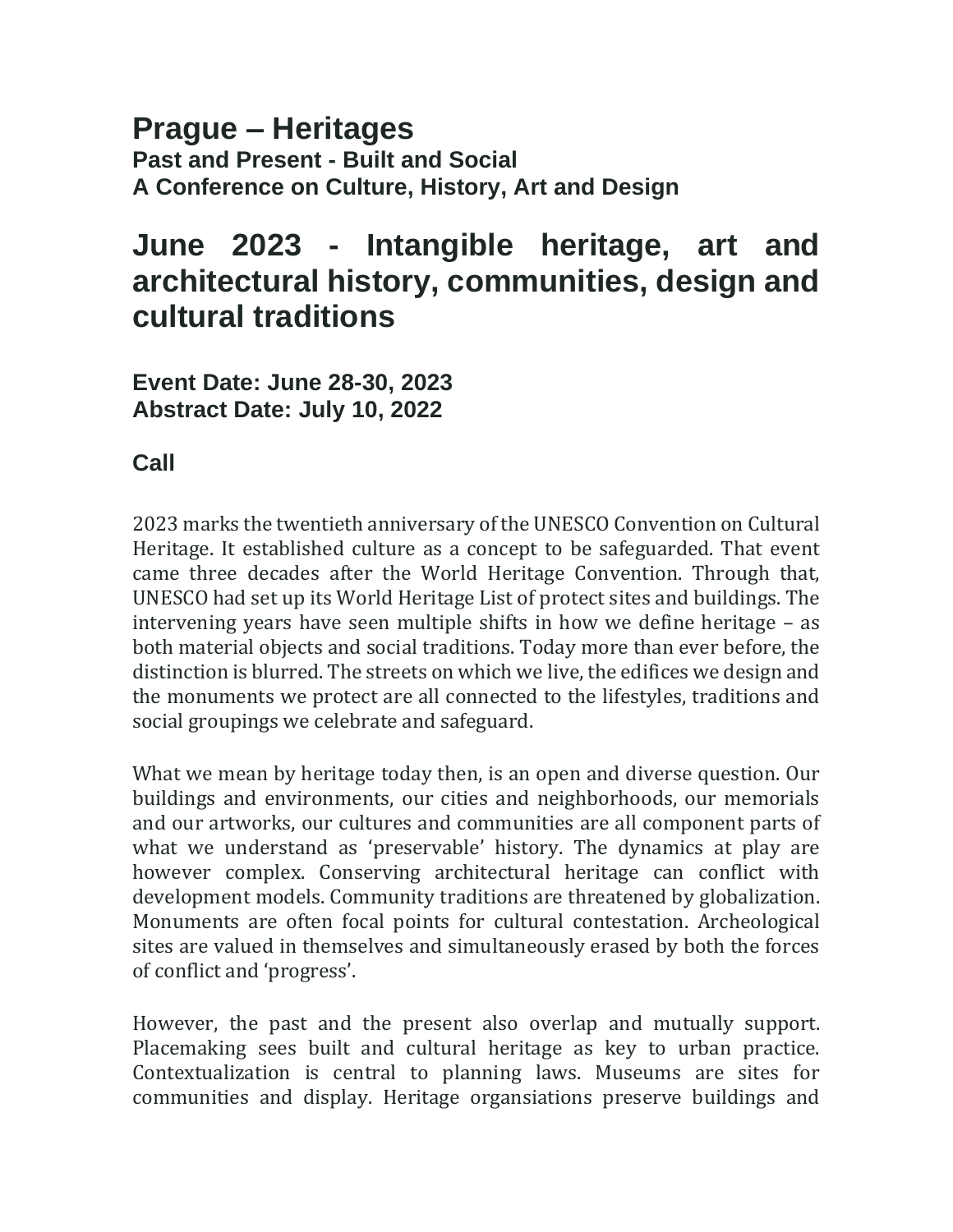#### **Prague – Heritages Past and Present - Built and Social A Conference on Culture, History, Art and Design**

# **June 2023 - Intangible heritage, art and architectural history, communities, design and cultural traditions**

**Event Date: June 28-30, 2023 Abstract Date: July 10, 2022**

## **Call**

2023 marks the twentieth anniversary of the UNESCO Convention on Cultural Heritage. It established culture as a concept to be safeguarded. That event came three decades after the World Heritage Convention. Through that, UNESCO had set up its World Heritage List of protect sites and buildings. The intervening years have seen multiple shifts in how we define heritage – as both material objects and social traditions. Today more than ever before, the distinction is blurred. The streets on which we live, the edifices we design and the monuments we protect are all connected to the lifestyles, traditions and social groupings we celebrate and safeguard.

What we mean by heritage today then, is an open and diverse question. Our buildings and environments, our cities and neighborhoods, our memorials and our artworks, our cultures and communities are all component parts of what we understand as 'preservable' history. The dynamics at play are however complex. Conserving architectural heritage can conflict with development models. Community traditions are threatened by globalization. Monuments are often focal points for cultural contestation. Archeological sites are valued in themselves and simultaneously erased by both the forces of conflict and 'progress'.

However, the past and the present also overlap and mutually support. Placemaking sees built and cultural heritage as key to urban practice. Contextualization is central to planning laws. Museums are sites for communities and display. Heritage organsiations preserve buildings and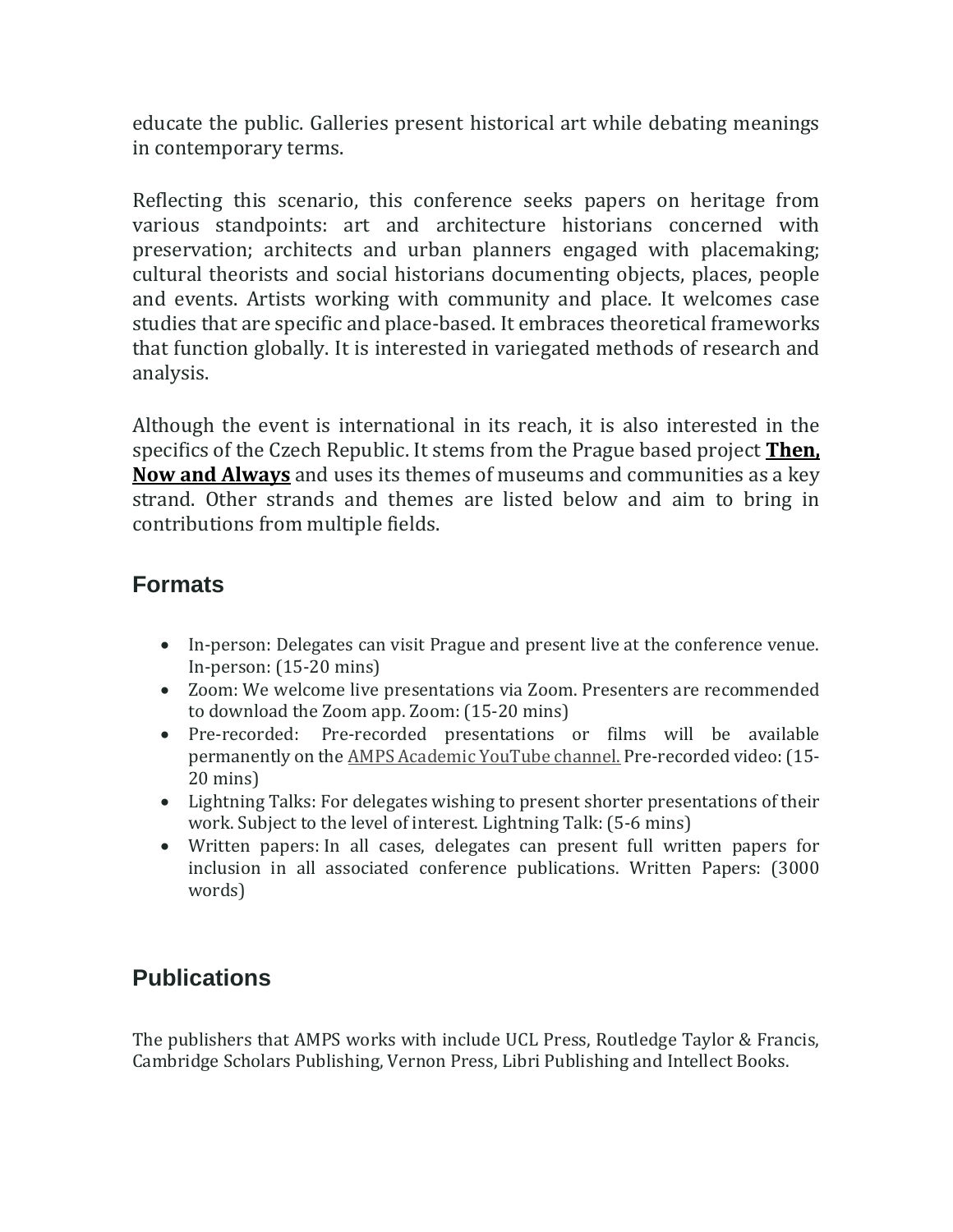educate the public. Galleries present historical art while debating meanings in contemporary terms.

Reflecting this scenario, this conference seeks papers on heritage from various standpoints: art and architecture historians concerned with preservation; architects and urban planners engaged with placemaking; cultural theorists and social historians documenting objects, places, people and events. Artists working with community and place. It welcomes case studies that are specific and place-based. It embraces theoretical frameworks that function globally. It is interested in variegated methods of research and analysis.

Although the event is international in its reach, it is also interested in the specifics of the Czech Republic. It stems from the Prague based project **[Then,](https://amps-research.com/then-now-prague/)  [Now and Always](https://amps-research.com/then-now-prague/)** and uses its themes of museums and communities as a key strand. Other strands and themes are listed below and aim to bring in contributions from multiple fields.

## **Formats**

- In-person: Delegates can visit Prague and present live at the conference venue. In-person: (15-20 mins)
- Zoom: We welcome live presentations via Zoom. Presenters are recommended to download the Zoom app. Zoom: (15-20 mins)
- Pre-recorded: Pre-recorded presentations or films will be available permanently on the [AMPS Academic YouTube channel.](https://www.youtube.com/c/AMPSresearch) Pre-recorded video: (15- 20 mins)
- Lightning Talks: For delegates wishing to present shorter presentations of their work. Subject to the level of interest. Lightning Talk: (5-6 mins)
- Written papers: In all cases, delegates can present full written papers for inclusion in all associated conference publications. Written Papers: (3000 words)

## **Publications**

The publishers that AMPS works with include UCL Press, Routledge Taylor & Francis, Cambridge Scholars Publishing, Vernon Press, Libri Publishing and Intellect Books.